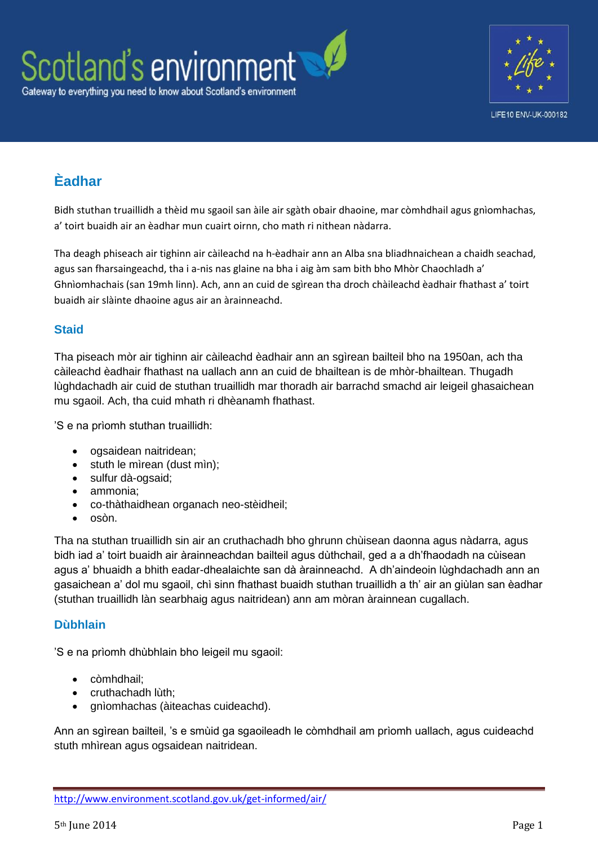

## **Èadhar**

Bidh stuthan truaillidh a thèid mu sgaoil san àile air sgàth obair dhaoine, mar còmhdhail agus gnìomhachas, a' toirt buaidh air an èadhar mun cuairt oirnn, cho math ri nithean nàdarra.

Tha deagh phiseach air tighinn air càileachd na h-èadhair ann an Alba sna bliadhnaichean a chaidh seachad, agus san fharsaingeachd, tha i a-nis nas glaine na bha i aig àm sam bith bho Mhòr Chaochladh a' Ghnìomhachais (san 19mh linn). Ach, ann an cuid de sgìrean tha droch chàileachd èadhair fhathast a' toirt buaidh air slàinte dhaoine agus air an àrainneachd.

## **Staid**

Tha piseach mòr air tighinn air càileachd èadhair ann an sgìrean bailteil bho na 1950an, ach tha càileachd èadhair fhathast na uallach ann an cuid de bhailtean is de mhòr-bhailtean. Thugadh lùghdachadh air cuid de stuthan truaillidh mar thoradh air barrachd smachd air leigeil ghasaichean mu sgaoil. Ach, tha cuid mhath ri dhèanamh fhathast.

'S e na prìomh stuthan truaillidh:

- ogsaidean naitridean;
- stuth le mìrean (dust mìn);
- sulfur dà-ogsaid;
- ammonia;
- co-thàthaidhean organach neo-stèidheil;
- $\bullet$  osòn.

Tha na stuthan truaillidh sin air an cruthachadh bho ghrunn chùisean daonna agus nàdarra, agus bidh iad a' toirt buaidh air àrainneachdan bailteil agus dùthchail, ged a a dh'fhaodadh na cùisean agus a' bhuaidh a bhith eadar-dhealaichte san dà àrainneachd. A dh'aindeoin lùghdachadh ann an gasaichean a' dol mu sgaoil, chì sinn fhathast buaidh stuthan truaillidh a th' air an giùlan san èadhar (stuthan truaillidh làn searbhaig agus naitridean) ann am mòran àrainnean cugallach.

## **Dùbhlain**

'S e na prìomh dhùbhlain bho leigeil mu sgaoil:

- còmhdhail;
- cruthachadh lùth;
- gnìomhachas (àiteachas cuideachd).

Ann an sgìrean bailteil, 's e smùid ga sgaoileadh le còmhdhail am prìomh uallach, agus cuideachd stuth mhìrean agus ogsaidean naitridean.

<http://www.environment.scotland.gov.uk/get-informed/air/>